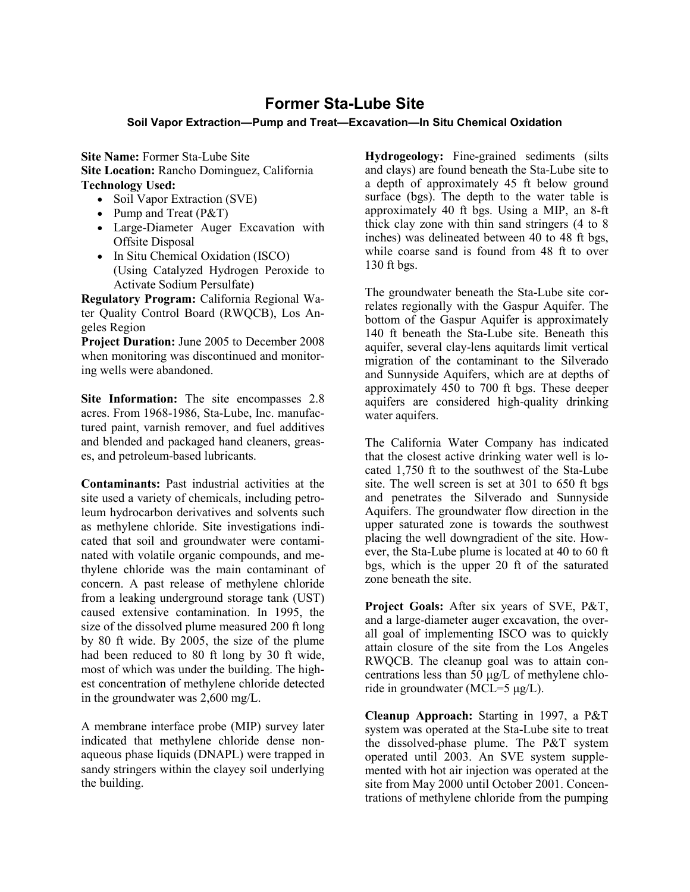## **Former Sta-Lube Site**

## **Soil Vapor Extraction—Pump and Treat—Excavation—In Situ Chemical Oxidation**

**Site Name:** Former Sta-Lube Site **Site Location:** Rancho Dominguez, California **Technology Used:** 

- Soil Vapor Extraction (SVE)
- Pump and Treat (P&T)
- Large-Diameter Auger Excavation with Offsite Disposal
- In Situ Chemical Oxidation (ISCO) (Using Catalyzed Hydrogen Peroxide to Activate Sodium Persulfate)

**Regulatory Program:** California Regional Water Quality Control Board (RWQCB), Los Angeles Region

**Project Duration:** June 2005 to December 2008 when monitoring was discontinued and monitoring wells were abandoned.

**Site Information:** The site encompasses 2.8 acres. From 1968-1986, Sta-Lube, Inc. manufactured paint, varnish remover, and fuel additives and blended and packaged hand cleaners, greases, and petroleum-based lubricants.

**Contaminants:** Past industrial activities at the site used a variety of chemicals, including petroleum hydrocarbon derivatives and solvents such as methylene chloride. Site investigations indicated that soil and groundwater were contaminated with volatile organic compounds, and methylene chloride was the main contaminant of concern. A past release of methylene chloride from a leaking underground storage tank (UST) caused extensive contamination. In 1995, the size of the dissolved plume measured 200 ft long by 80 ft wide. By 2005, the size of the plume had been reduced to 80 ft long by 30 ft wide, most of which was under the building. The highest concentration of methylene chloride detected in the groundwater was 2,600 mg/L.

A membrane interface probe (MIP) survey later indicated that methylene chloride dense nonaqueous phase liquids (DNAPL) were trapped in sandy stringers within the clayey soil underlying the building.

**Hydrogeology:** Fine-grained sediments (silts and clays) are found beneath the Sta-Lube site to a depth of approximately 45 ft below ground surface (bgs). The depth to the water table is approximately 40 ft bgs. Using a MIP, an 8-ft thick clay zone with thin sand stringers (4 to 8 inches) was delineated between 40 to 48 ft bgs, while coarse sand is found from 48 ft to over 130 ft bgs.

The groundwater beneath the Sta-Lube site correlates regionally with the Gaspur Aquifer. The bottom of the Gaspur Aquifer is approximately 140 ft beneath the Sta-Lube site. Beneath this aquifer, several clay-lens aquitards limit vertical migration of the contaminant to the Silverado and Sunnyside Aquifers, which are at depths of approximately 450 to 700 ft bgs. These deeper aquifers are considered high-quality drinking water aquifers.

The California Water Company has indicated that the closest active drinking water well is located 1,750 ft to the southwest of the Sta-Lube site. The well screen is set at 301 to 650 ft bgs and penetrates the Silverado and Sunnyside Aquifers. The groundwater flow direction in the upper saturated zone is towards the southwest placing the well downgradient of the site. However, the Sta-Lube plume is located at 40 to 60 ft bgs, which is the upper 20 ft of the saturated zone beneath the site.

**Project Goals:** After six years of SVE, P&T, and a large-diameter auger excavation, the overall goal of implementing ISCO was to quickly attain closure of the site from the Los Angeles RWQCB. The cleanup goal was to attain concentrations less than 50 μg/L of methylene chloride in groundwater (MCL=5 μg/L).

**Cleanup Approach:** Starting in 1997, a P&T system was operated at the Sta-Lube site to treat the dissolved-phase plume. The P&T system operated until 2003. An SVE system supplemented with hot air injection was operated at the site from May 2000 until October 2001. Concentrations of methylene chloride from the pumping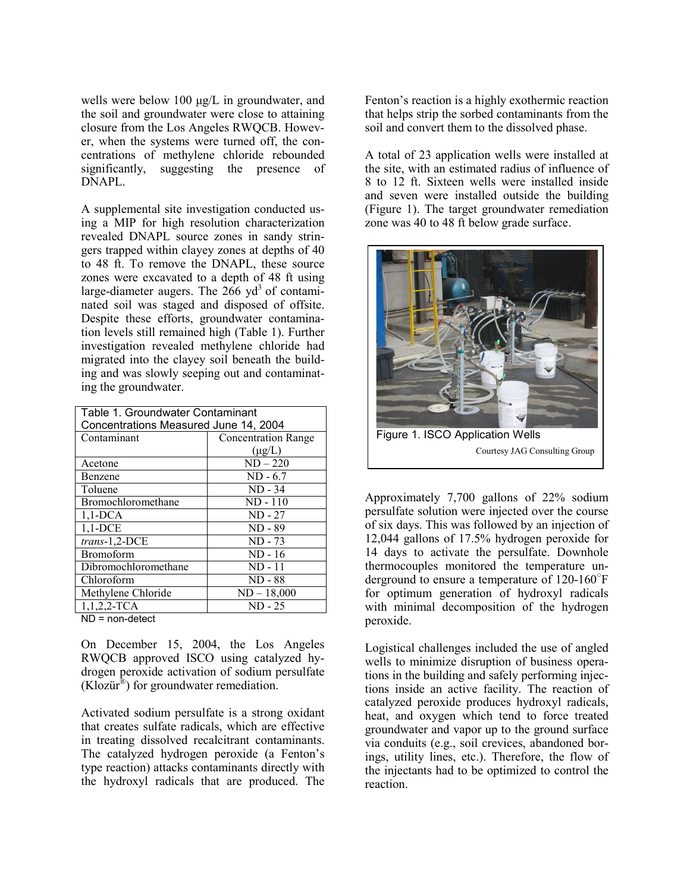wells were below 100 μg/L in groundwater, and the soil and groundwater were close to attaining closure from the Los Angeles RWQCB. However, when the systems were turned off, the concentrations of methylene chloride rebounded significantly, suggesting the presence of DNAPL.

A supplemental site investigation conducted using a MIP for high resolution characterization revealed DNAPL source zones in sandy stringers trapped within clayey zones at depths of 40 to 48 ft. To remove the DNAPL, these source zones were excavated to a depth of 48 ft using large-diameter augers. The  $266 \text{ yd}^3$  of contaminated soil was staged and disposed of offsite. Despite these efforts, groundwater contamination levels still remained high (Table 1). Further investigation revealed methylene chloride had migrated into the clayey soil beneath the building and was slowly seeping out and contaminating the groundwater.

| Table 1. Groundwater Contaminant      |                            |
|---------------------------------------|----------------------------|
| Concentrations Measured June 14, 2004 |                            |
| Contaminant                           | <b>Concentration Range</b> |
|                                       | $(\mu g/L)$                |
| Acetone                               | $ND-220$                   |
| Benzene                               | $ND - 6.7$                 |
| Toluene                               | $ND - 34$                  |
| Bromochloromethane                    | $ND - 110$                 |
| $1,1$ -DCA                            | $ND - 27$                  |
| $1,1$ -DCE                            | $ND - 89$                  |
| trans-1,2-DCE                         | ND - 73                    |
| <b>Bromoform</b>                      | $ND - 16$                  |
| Dibromochloromethane                  | $ND - 11$                  |
| Chloroform                            | $ND - 88$                  |
| Methylene Chloride                    | $ND - 18,000$              |
| $1, 1, 2, 2$ -TCA                     | $ND - 25$                  |

ND = non-detect

On December 15, 2004, the Los Angeles RWQCB approved ISCO using catalyzed hydrogen peroxide activation of sodium persulfate  $(Klozür^{\omega})$  for groundwater remediation.

Activated sodium persulfate is a strong oxidant that creates sulfate radicals, which are effective in treating dissolved recalcitrant contaminants. The catalyzed hydrogen peroxide (a Fenton's type reaction) attacks contaminants directly with the hydroxyl radicals that are produced. The

Fenton's reaction is a highly exothermic reaction that helps strip the sorbed contaminants from the soil and convert them to the dissolved phase.

A total of 23 application wells were installed at the site, with an estimated radius of influence of 8 to 12 ft. Sixteen wells were installed inside and seven were installed outside the building (Figure 1). The target groundwater remediation zone was 40 to 48 ft below grade surface.



Approximately 7,700 gallons of 22% sodium persulfate solution were injected over the course of six days. This was followed by an injection of 12,044 gallons of 17.5% hydrogen peroxide for 14 days to activate the persulfate. Downhole thermocouples monitored the temperature underground to ensure a temperature of 120-160○ F for optimum generation of hydroxyl radicals with minimal decomposition of the hydrogen peroxide.

Logistical challenges included the use of angled wells to minimize disruption of business operations in the building and safely performing injections inside an active facility. The reaction of catalyzed peroxide produces hydroxyl radicals, heat, and oxygen which tend to force treated groundwater and vapor up to the ground surface via conduits (e.g., soil crevices, abandoned borings, utility lines, etc.). Therefore, the flow of the injectants had to be optimized to control the reaction.